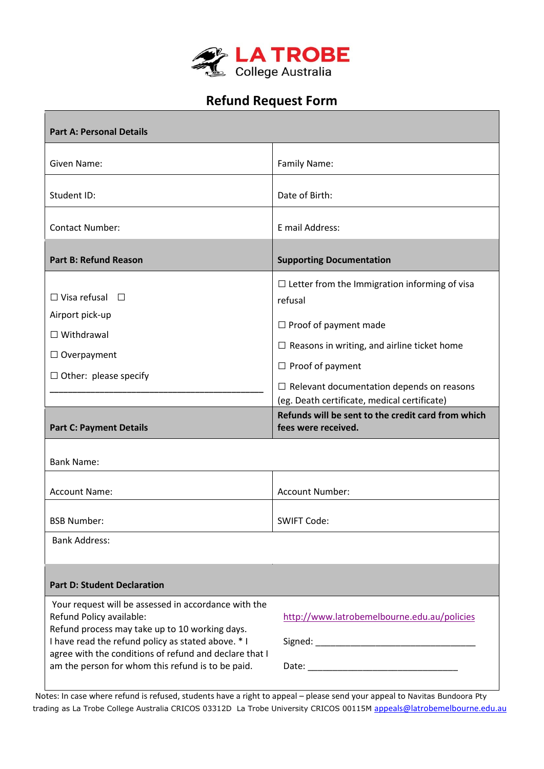

## **Refund Request Form**

| <b>Part A: Personal Details</b>                                                                                                                                                                                                                                                                         |                                                                                                                                                                                                                                                                                                                                                                   |
|---------------------------------------------------------------------------------------------------------------------------------------------------------------------------------------------------------------------------------------------------------------------------------------------------------|-------------------------------------------------------------------------------------------------------------------------------------------------------------------------------------------------------------------------------------------------------------------------------------------------------------------------------------------------------------------|
| Given Name:                                                                                                                                                                                                                                                                                             | Family Name:                                                                                                                                                                                                                                                                                                                                                      |
| Student ID:                                                                                                                                                                                                                                                                                             | Date of Birth:                                                                                                                                                                                                                                                                                                                                                    |
| <b>Contact Number:</b>                                                                                                                                                                                                                                                                                  | E mail Address:                                                                                                                                                                                                                                                                                                                                                   |
| <b>Part B: Refund Reason</b>                                                                                                                                                                                                                                                                            | <b>Supporting Documentation</b>                                                                                                                                                                                                                                                                                                                                   |
| $\Box$ Visa refusal $\Box$<br>Airport pick-up<br>$\Box$ Withdrawal<br>$\Box$ Overpayment<br>$\Box$ Other: please specify<br><b>Part C: Payment Details</b><br><b>Bank Name:</b>                                                                                                                         | $\Box$ Letter from the Immigration informing of visa<br>refusal<br>$\Box$ Proof of payment made<br>$\Box$ Reasons in writing, and airline ticket home<br>$\Box$ Proof of payment<br>$\Box$ Relevant documentation depends on reasons<br>(eg. Death certificate, medical certificate)<br>Refunds will be sent to the credit card from which<br>fees were received. |
| <b>Account Name:</b>                                                                                                                                                                                                                                                                                    | Account Number:                                                                                                                                                                                                                                                                                                                                                   |
| <b>BSB Number:</b><br><b>Bank Address:</b>                                                                                                                                                                                                                                                              | SWIFT Code:                                                                                                                                                                                                                                                                                                                                                       |
| <b>Part D: Student Declaration</b>                                                                                                                                                                                                                                                                      |                                                                                                                                                                                                                                                                                                                                                                   |
| Your request will be assessed in accordance with the<br>Refund Policy available:<br>Refund process may take up to 10 working days.<br>I have read the refund policy as stated above. * I<br>agree with the conditions of refund and declare that I<br>am the person for whom this refund is to be paid. | http://www.latrobemelbourne.edu.au/policies                                                                                                                                                                                                                                                                                                                       |

Notes: In case where refund is refused, students have a right to appeal – please send your appeal to Navitas Bundoora Pty trading as La Trobe College Australia CRICOS 03312D La Trobe University CRICOS 00115M appeals@latrobemelbourne.edu.au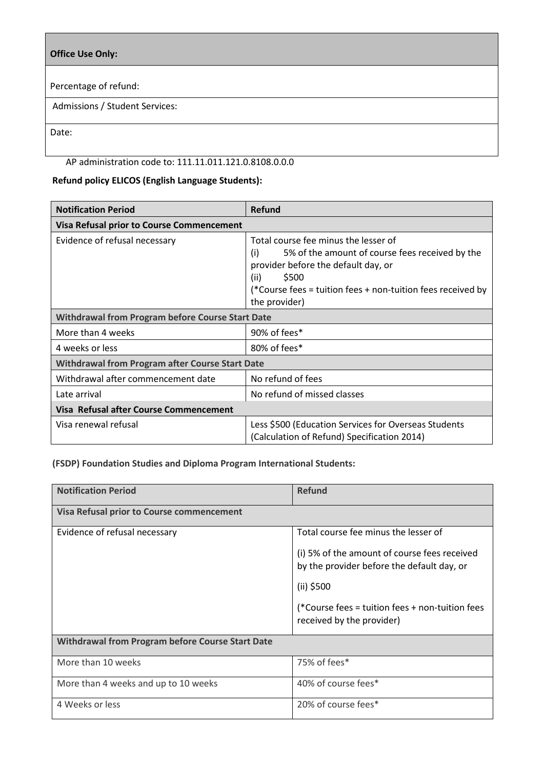## **Office Use Only:**

Percentage of refund:

Admissions / Student Services:

Date:

## AP administration code to: 111.11.011.121.0.8108.0.0.0

## **Refund policy ELICOS (English Language Students):**

| <b>Notification Period</b>                              | <b>Refund</b>                                                                                                                                                                                                                          |  |
|---------------------------------------------------------|----------------------------------------------------------------------------------------------------------------------------------------------------------------------------------------------------------------------------------------|--|
| <b>Visa Refusal prior to Course Commencement</b>        |                                                                                                                                                                                                                                        |  |
| Evidence of refusal necessary                           | Total course fee minus the lesser of<br>(i)<br>5% of the amount of course fees received by the<br>provider before the default day, or<br>\$500<br>(ii)<br>(*Course fees = tuition fees + non-tuition fees received by<br>the provider) |  |
| <b>Withdrawal from Program before Course Start Date</b> |                                                                                                                                                                                                                                        |  |
| More than 4 weeks                                       | 90% of fees*                                                                                                                                                                                                                           |  |
| 4 weeks or less                                         | 80% of fees*                                                                                                                                                                                                                           |  |
| <b>Withdrawal from Program after Course Start Date</b>  |                                                                                                                                                                                                                                        |  |
| Withdrawal after commencement date                      | No refund of fees                                                                                                                                                                                                                      |  |
| Late arrival                                            | No refund of missed classes                                                                                                                                                                                                            |  |
| Visa Refusal after Course Commencement                  |                                                                                                                                                                                                                                        |  |
| Visa renewal refusal                                    | Less \$500 (Education Services for Overseas Students<br>(Calculation of Refund) Specification 2014)                                                                                                                                    |  |

**(FSDP) Foundation Studies and Diploma Program International Students:** 

| <b>Notification Period</b>                       | <b>Refund</b>                                                                              |  |
|--------------------------------------------------|--------------------------------------------------------------------------------------------|--|
| Visa Refusal prior to Course commencement        |                                                                                            |  |
| Evidence of refusal necessary                    | Total course fee minus the lesser of                                                       |  |
|                                                  | (i) 5% of the amount of course fees received<br>by the provider before the default day, or |  |
|                                                  | (ii) \$500                                                                                 |  |
|                                                  | (*Course fees = tuition fees + non-tuition fees<br>received by the provider)               |  |
| Withdrawal from Program before Course Start Date |                                                                                            |  |
| More than 10 weeks                               | 75% of fees*                                                                               |  |
| More than 4 weeks and up to 10 weeks             | 40% of course fees*                                                                        |  |
| 4 Weeks or less                                  | 20% of course fees*                                                                        |  |